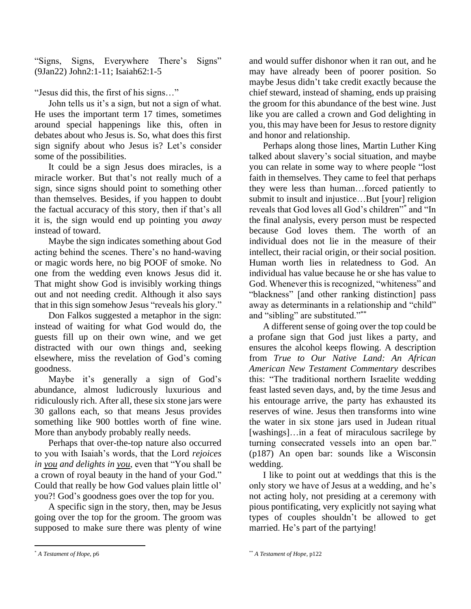"Signs, Signs, Everywhere There's Signs" (9Jan22) John2:1-11; Isaiah62:1-5

"Jesus did this, the first of his signs…"

John tells us it's a sign, but not a sign of what. He uses the important term 17 times, sometimes around special happenings like this, often in debates about who Jesus is. So, what does this first sign signify about who Jesus is? Let's consider some of the possibilities.

It could be a sign Jesus does miracles, is a miracle worker. But that's not really much of a sign, since signs should point to something other than themselves. Besides, if you happen to doubt the factual accuracy of this story, then if that's all it is, the sign would end up pointing you *away* instead of toward.

Maybe the sign indicates something about God acting behind the scenes. There's no hand-waving or magic words here, no big POOF of smoke. No one from the wedding even knows Jesus did it. That might show God is invisibly working things out and not needing credit. Although it also says that in this sign somehow Jesus "reveals his glory."

Don Falkos suggested a metaphor in the sign: instead of waiting for what God would do, the guests fill up on their own wine, and we get distracted with our own things and, seeking elsewhere, miss the revelation of God's coming goodness.

Maybe it's generally a sign of God's abundance, almost ludicrously luxurious and ridiculously rich. After all, these six stone jars were 30 gallons each, so that means Jesus provides something like 900 bottles worth of fine wine. More than anybody probably really needs.

Perhaps that over-the-top nature also occurred to you with Isaiah's words, that the Lord *rejoices in you and delights in you*, even that "You shall be a crown of royal beauty in the hand of your God." Could that really be how God values plain little ol' you?! God's goodness goes over the top for you.

A specific sign in the story, then, may be Jesus going over the top for the groom. The groom was supposed to make sure there was plenty of wine and would suffer dishonor when it ran out, and he may have already been of poorer position. So maybe Jesus didn't take credit exactly because the chief steward, instead of shaming, ends up praising the groom for this abundance of the best wine. Just like you are called a crown and God delighting in you, this may have been for Jesus to restore dignity and honor and relationship.

Perhaps along those lines, Martin Luther King talked about slavery's social situation, and maybe you can relate in some way to where people "lost faith in themselves. They came to feel that perhaps they were less than human…forced patiently to submit to insult and injustice…But [your] religion reveals that God loves all God's children"\* and "In the final analysis, every person must be respected because God loves them. The worth of an individual does not lie in the measure of their intellect, their racial origin, or their social position. Human worth lies in relatedness to God. An individual has value because he or she has value to God. Whenever this is recognized, "whiteness" and "blackness" [and other ranking distinction] pass away as determinants in a relationship and "child" and "sibling" are substituted."\*\*

A different sense of going over the top could be a profane sign that God just likes a party, and ensures the alcohol keeps flowing. A description from *True to Our Native Land: An African American New Testament Commentary* describes this: "The traditional northern Israelite wedding feast lasted seven days, and, by the time Jesus and his entourage arrive, the party has exhausted its reserves of wine. Jesus then transforms into wine the water in six stone jars used in Judean ritual [washings]...in a feat of miraculous sacrilege by turning consecrated vessels into an open bar." (p187) An open bar: sounds like a Wisconsin wedding.

I like to point out at weddings that this is the only story we have of Jesus at a wedding, and he's not acting holy, not presiding at a ceremony with pious pontificating, very explicitly not saying what types of couples shouldn't be allowed to get married. He's part of the partying!

<sup>\*</sup> *A Testament of Hope,* p6

<sup>\*\*</sup> *A Testament of Hope,* p122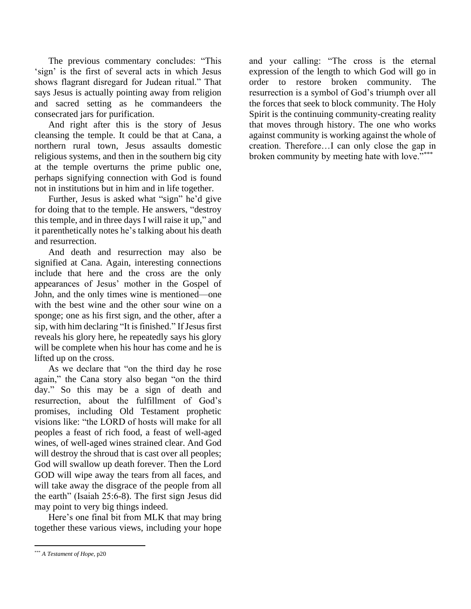The previous commentary concludes: "This 'sign' is the first of several acts in which Jesus shows flagrant disregard for Judean ritual." That says Jesus is actually pointing away from religion and sacred setting as he commandeers the consecrated jars for purification.

And right after this is the story of Jesus cleansing the temple. It could be that at Cana, a northern rural town, Jesus assaults domestic religious systems, and then in the southern big city at the temple overturns the prime public one, perhaps signifying connection with God is found not in institutions but in him and in life together.

Further, Jesus is asked what "sign" he'd give for doing that to the temple. He answers, "destroy this temple, and in three days I will raise it up," and it parenthetically notes he's talking about his death and resurrection.

And death and resurrection may also be signified at Cana. Again, interesting connections include that here and the cross are the only appearances of Jesus' mother in the Gospel of John, and the only times wine is mentioned—one with the best wine and the other sour wine on a sponge; one as his first sign, and the other, after a sip, with him declaring "It is finished." If Jesus first reveals his glory here, he repeatedly says his glory will be complete when his hour has come and he is lifted up on the cross.

As we declare that "on the third day he rose again," the Cana story also began "on the third day." So this may be a sign of death and resurrection, about the fulfillment of God's promises, including Old Testament prophetic visions like: "the LORD of hosts will make for all peoples a feast of rich food, a feast of well-aged wines, of well-aged wines strained clear. And God will destroy the shroud that is cast over all peoples; God will swallow up death forever. Then the Lord GOD will wipe away the tears from all faces, and will take away the disgrace of the people from all the earth" (Isaiah 25:6-8). The first sign Jesus did may point to very big things indeed.

Here's one final bit from MLK that may bring together these various views, including your hope

and your calling: "The cross is the eternal expression of the length to which God will go in order to restore broken community. The resurrection is a symbol of God's triumph over all the forces that seek to block community. The Holy Spirit is the continuing community-creating reality that moves through history. The one who works against community is working against the whole of creation. Therefore…I can only close the gap in broken community by meeting hate with love."\*\*\*

<sup>\*\*\*</sup> *A Testament of Hope,* p20